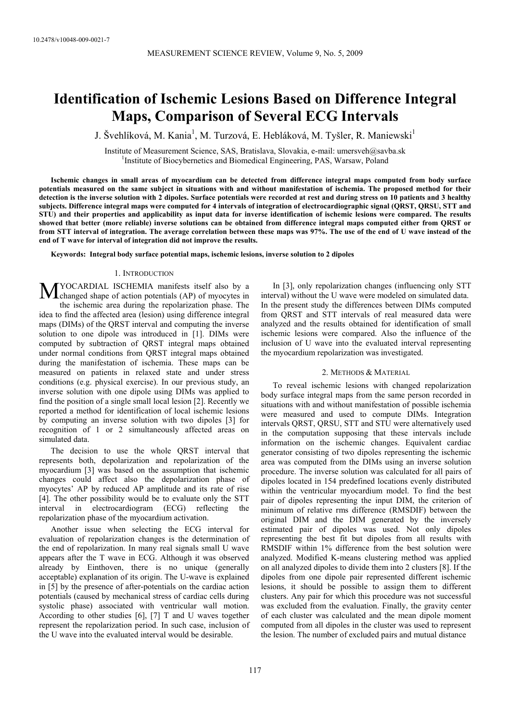# **Identification of Ischemic Lesions Based on Difference Integral Maps, Comparison of Several ECG Intervals**

J. Švehlíková, M. Kania<sup>1</sup>, M. Turzová, E. Hebláková, M. Tyšler, R. Maniewski<sup>1</sup>

Institute of Measurement Science, SAS, Bratislava, Slovakia, e-mail: umersveh@savba.sk 1 <sup>1</sup>Institute of Biocybernetics and Biomedical Engineering, PAS, Warsaw, Poland

**Ischemic changes in small areas of myocardium can be detected from difference integral maps computed from body surface potentials measured on the same subject in situations with and without manifestation of ischemia. The proposed method for their detection is the inverse solution with 2 dipoles. Surface potentials were recorded at rest and during stress on 10 patients and 3 healthy subjects. Difference integral maps were computed for 4 intervals of integration of electrocardiographic signal (QRST, QRSU, STT and STU) and their properties and applicability as input data for inverse identification of ischemic lesions were compared. The results showed that better (more reliable) inverse solutions can be obtained from difference integral maps computed either from QRST or from STT interval of integration. The average correlation between these maps was 97%. The use of the end of U wave instead of the end of T wave for interval of integration did not improve the results.** 

**Keywords: Integral body surface potential maps, ischemic lesions, inverse solution to 2 dipoles** 

## 1. INTRODUCTION

MYOCARDIAL ISCHEMIA manifests itself also by a changed shape of action potentials (AP) of myocytes in changed shape of action potentials (AP) of myocytes in the ischemic area during the repolarization phase. The idea to find the affected area (lesion) using difference integral maps (DIMs) of the QRST interval and computing the inverse solution to one dipole was introduced in [1]. DIMs were computed by subtraction of QRST integral maps obtained under normal conditions from QRST integral maps obtained during the manifestation of ischemia. These maps can be measured on patients in relaxed state and under stress conditions (e.g. physical exercise). In our previous study, an inverse solution with one dipole using DIMs was applied to find the position of a single small local lesion [2]. Recently we reported a method for identification of local ischemic lesions by computing an inverse solution with two dipoles [3] for recognition of 1 or 2 simultaneously affected areas on simulated data.

The decision to use the whole QRST interval that represents both, depolarization and repolarization of the myocardium [3] was based on the assumption that ischemic changes could affect also the depolarization phase of myocytes' AP by reduced AP amplitude and its rate of rise [4]. The other possibility would be to evaluate only the STT interval in electrocardiogram (ECG) reflecting the repolarization phase of the myocardium activation.

Another issue when selecting the ECG interval for evaluation of repolarization changes is the determination of the end of repolarization. In many real signals small U wave appears after the T wave in ECG. Although it was observed already by Einthoven, there is no unique (generally acceptable) explanation of its origin. The U-wave is explained in [5] by the presence of after-potentials on the cardiac action potentials (caused by mechanical stress of cardiac cells during systolic phase) associated with ventricular wall motion. According to other studies [6], [7] T and U waves together represent the repolarization period. In such case, inclusion of the U wave into the evaluated interval would be desirable.

In [3], only repolarization changes (influencing only STT interval) without the U wave were modeled on simulated data. In the present study the differences between DIMs computed from QRST and STT intervals of real measured data were analyzed and the results obtained for identification of small ischemic lesions were compared. Also the influence of the inclusion of U wave into the evaluated interval representing the myocardium repolarization was investigated.

## 2. METHODS & MATERIAL

To reveal ischemic lesions with changed repolarization body surface integral maps from the same person recorded in situations with and without manifestation of possible ischemia were measured and used to compute DIMs. Integration intervals QRST, QRSU, STT and STU were alternatively used in the computation supposing that these intervals include information on the ischemic changes. Equivalent cardiac generator consisting of two dipoles representing the ischemic area was computed from the DIMs using an inverse solution procedure. The inverse solution was calculated for all pairs of dipoles located in 154 predefined locations evenly distributed within the ventricular myocardium model. To find the best pair of dipoles representing the input DIM, the criterion of minimum of relative rms difference (RMSDIF) between the original DIM and the DIM generated by the inversely estimated pair of dipoles was used. Not only dipoles representing the best fit but dipoles from all results with RMSDIF within 1% difference from the best solution were analyzed. Modified K-means clustering method was applied on all analyzed dipoles to divide them into 2 clusters [8]. If the dipoles from one dipole pair represented different ischemic lesions, it should be possible to assign them to different clusters. Any pair for which this procedure was not successful was excluded from the evaluation. Finally, the gravity center of each cluster was calculated and the mean dipole moment computed from all dipoles in the cluster was used to represent the lesion. The number of excluded pairs and mutual distance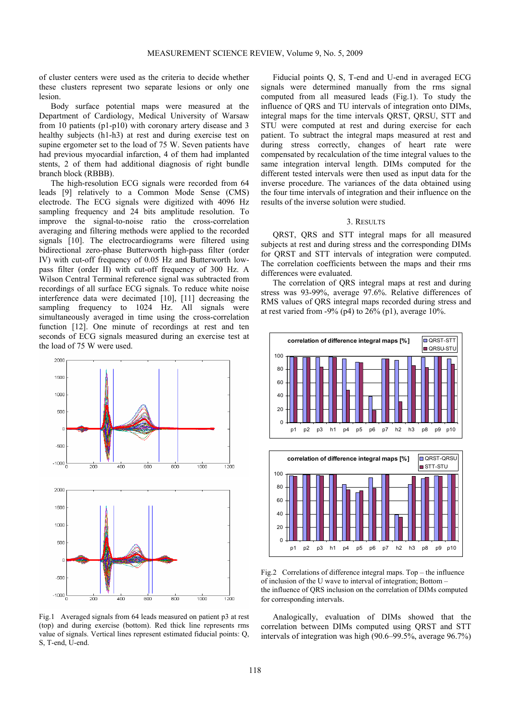of cluster centers were used as the criteria to decide whether these clusters represent two separate lesions or only one lesion.

Body surface potential maps were measured at the Department of Cardiology, Medical University of Warsaw from 10 patients (p1-p10) with coronary artery disease and 3 healthy subjects (h1-h3) at rest and during exercise test on supine ergometer set to the load of 75 W. Seven patients have had previous myocardial infarction, 4 of them had implanted stents, 2 of them had additional diagnosis of right bundle branch block (RBBB).

The high-resolution ECG signals were recorded from 64 leads [9] relatively to a Common Mode Sense (CMS) electrode. The ECG signals were digitized with 4096 Hz sampling frequency and 24 bits amplitude resolution. To improve the signal-to-noise ratio the cross-correlation averaging and filtering methods were applied to the recorded signals [10]. The electrocardiograms were filtered using bidirectional zero-phase Butterworth high-pass filter (order IV) with cut-off frequency of 0.05 Hz and Butterworth lowpass filter (order II) with cut-off frequency of 300 Hz. A Wilson Central Terminal reference signal was subtracted from recordings of all surface ECG signals. To reduce white noise interference data were decimated [10], [11] decreasing the sampling frequency to 1024 Hz. All signals were simultaneously averaged in time using the cross-correlation function [12]. One minute of recordings at rest and ten seconds of ECG signals measured during an exercise test at the load of 75 W were used.



Fig.1 Averaged signals from 64 leads measured on patient p3 at rest (top) and during exercise (bottom). Red thick line represents rms value of signals. Vertical lines represent estimated fiducial points: Q, S, T-end, U-end.

Fiducial points Q, S, T-end and U-end in averaged ECG signals were determined manually from the rms signal computed from all measured leads (Fig.1). To study the influence of QRS and TU intervals of integration onto DIMs, integral maps for the time intervals QRST, QRSU, STT and STU were computed at rest and during exercise for each patient. To subtract the integral maps measured at rest and during stress correctly, changes of heart rate were compensated by recalculation of the time integral values to the same integration interval length. DIMs computed for the different tested intervals were then used as input data for the inverse procedure. The variances of the data obtained using the four time intervals of integration and their influence on the results of the inverse solution were studied.

# 3. RESULTS

QRST, QRS and STT integral maps for all measured subjects at rest and during stress and the corresponding DIMs for QRST and STT intervals of integration were computed. The correlation coefficients between the maps and their rms differences were evaluated.

The correlation of QRS integral maps at rest and during stress was 93-99%, average 97.6%. Relative differences of RMS values of QRS integral maps recorded during stress and at rest varied from  $-9\%$  (p4) to 26% (p1), average 10%.





Fig.2 Correlations of difference integral maps. Top – the influence of inclusion of the U wave to interval of integration; Bottom – the influence of QRS inclusion on the correlation of DIMs computed for corresponding intervals.

Analogically, evaluation of DIMs showed that the correlation between DIMs computed using QRST and STT intervals of integration was high (90.6–99.5%, average 96.7%)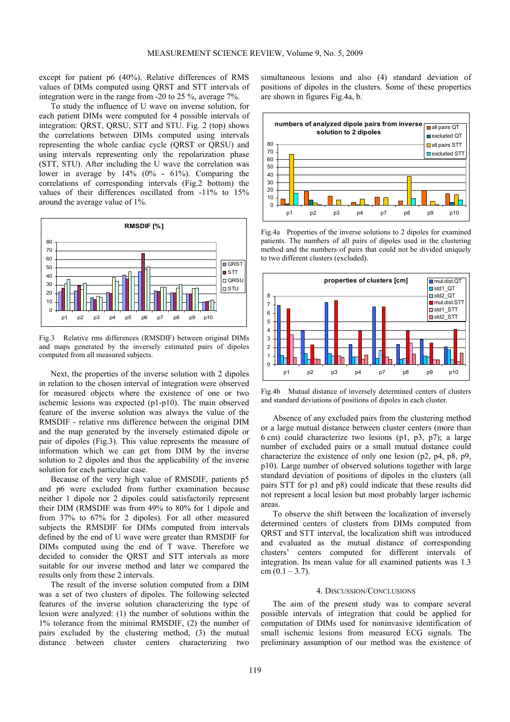except for patient p6 (40%). Relative differences of RMS values of DIMs computed using QRST and STT intervals of integration were in the range from -20 to 25 %, average 7%.

To study the influence of U wave on inverse solution, for each patient DIMs were computed for 4 possible intervals of integration: QRST, QRSU, STT and STU. Fig. 2 (top) shows the correlations between DIMs computed using intervals representing the whole cardiac cycle (QRST or QRSU) and using intervals representing only the repolarization phase (STT, STU). After including the U wave the correlation was lower in average by 14% (0% - 61%). Comparing the correlations of corresponding intervals (Fig.2 bottom) the values of their differences oscillated from -11% to 15% around the average value of 1%.



Fig.3 Relative rms differences (RMSDIF) between original DIMs and maps generated by the inversely estimated pairs of dipoles computed from all measured subjects.

Next, the properties of the inverse solution with 2 dipoles in relation to the chosen interval of integration were observed for measured objects where the existence of one or two ischemic lesions was expected (p1-p10). The main observed feature of the inverse solution was always the value of the RMSDIF - relative rms difference between the original DIM and the map generated by the inversely estimated dipole or pair of dipoles (Fig.3). This value represents the measure of information which we can get from DIM by the inverse solution to 2 dipoles and thus the applicability of the inverse solution for each particular case.

Because of the very high value of RMSDIF, patients p5 and p6 were excluded from further examination because neither 1 dipole nor 2 dipoles could satisfactorily represent their DIM (RMSDIF was from 49% to 80% for 1 dipole and from 37% to 67% for 2 dipoles). For all other measured subjects the RMSDIF for DIMs computed from intervals defined by the end of U wave were greater than RMSDIF for DIMs computed using the end of T wave. Therefore we decided to consider the QRST and STT intervals as more suitable for our inverse method and later we compared the results only from these 2 intervals.

The result of the inverse solution computed from a DIM was a set of two clusters of dipoles. The following selected features of the inverse solution characterizing the type of lesion were analyzed: (1) the number of solutions within the 1% tolerance from the minimal RMSDIF, (2) the number of pairs excluded by the clustering method, (3) the mutual distance between cluster centers characterizing two

simultaneous lesions and also (4) standard deviation of positions of dipoles in the clusters. Some of these properties are shown in figures Fig.4a, b.



Fig.4a Properties of the inverse solutions to 2 dipoles for examined patients. The numbers of all pairs of dipoles used in the clustering method and the numbers of pairs that could not be divided uniquely to two different clusters (excluded).



Fig.4b Mutual distance of inversely determined centers of clusters and standard deviations of positions of dipoles in each cluster.

Absence of any excluded pairs from the clustering method or a large mutual distance between cluster centers (more than 6 cm) could characterize two lesions (p1, p3, p7); a large number of excluded pairs or a small mutual distance could characterize the existence of only one lesion (p2, p4, p8, p9, p10). Large number of observed solutions together with large standard deviation of positions of dipoles in the clusters (all pairs STT for p1 and p8) could indicate that these results did not represent a local lesion but most probably larger ischemic areas.

To observe the shift between the localization of inversely determined centers of clusters from DIMs computed from QRST and STT interval, the localization shift was introduced and evaluated as the mutual distance of corresponding clusters' centers computed for different intervals of integration. Its mean value for all examined patients was 1.3  $cm (0.1 - 3.7)$ .

### 4. DISCUSSION/CONCLUSIONS

The aim of the present study was to compare several possible intervals of integration that could be applied for computation of DIMs used for noninvasive identification of small ischemic lesions from measured ECG signals. The preliminary assumption of our method was the existence of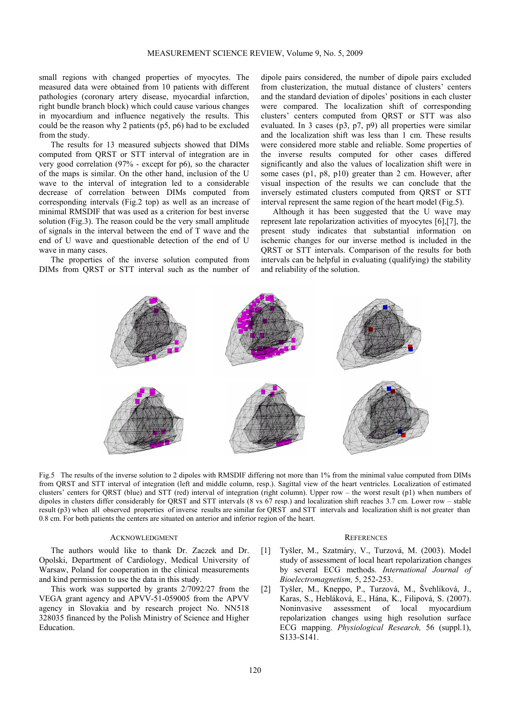small regions with changed properties of myocytes. The measured data were obtained from 10 patients with different pathologies (coronary artery disease, myocardial infarction, right bundle branch block) which could cause various changes in myocardium and influence negatively the results. This could be the reason why 2 patients (p5, p6) had to be excluded from the study.

The results for 13 measured subjects showed that DIMs computed from QRST or STT interval of integration are in very good correlation (97% - except for p6), so the character of the maps is similar. On the other hand, inclusion of the U wave to the interval of integration led to a considerable decrease of correlation between DIMs computed from corresponding intervals (Fig.2 top) as well as an increase of minimal RMSDIF that was used as a criterion for best inverse solution (Fig.3). The reason could be the very small amplitude of signals in the interval between the end of T wave and the end of U wave and questionable detection of the end of U wave in many cases.

The properties of the inverse solution computed from DIMs from QRST or STT interval such as the number of dipole pairs considered, the number of dipole pairs excluded from clusterization, the mutual distance of clusters' centers and the standard deviation of dipoles' positions in each cluster were compared. The localization shift of corresponding clusters' centers computed from QRST or STT was also evaluated. In 3 cases (p3, p7, p9) all properties were similar and the localization shift was less than 1 cm. These results were considered more stable and reliable. Some properties of the inverse results computed for other cases differed significantly and also the values of localization shift were in some cases (p1, p8, p10) greater than 2 cm. However, after visual inspection of the results we can conclude that the inversely estimated clusters computed from QRST or STT interval represent the same region of the heart model (Fig.5).

Although it has been suggested that the U wave may represent late repolarization activities of myocytes [6],[7], the present study indicates that substantial information on ischemic changes for our inverse method is included in the QRST or STT intervals. Comparison of the results for both intervals can be helpful in evaluating (qualifying) the stability and reliability of the solution.



Fig.5 The results of the inverse solution to 2 dipoles with RMSDIF differing not more than 1% from the minimal value computed from DIMs from QRST and STT interval of integration (left and middle column, resp.). Sagittal view of the heart ventricles. Localization of estimated clusters' centers for QRST (blue) and STT (red) interval of integration (right column). Upper row – the worst result (p1) when numbers of dipoles in clusters differ considerably for QRST and STT intervals (8 vs 67 resp.) and localization shift reaches 3.7 cm. Lower row – stable result (p3) when all observed properties of inverse results are similar for QRST and STT intervals and localization shift is not greater than 0.8 cm. For both patients the centers are situated on anterior and inferior region of the heart.

## ACKNOWLEDGMENT

The authors would like to thank Dr. Zaczek and Dr. Opolski, Department of Cardiology, Medical University of Warsaw, Poland for cooperation in the clinical measurements and kind permission to use the data in this study.

This work was supported by grants 2/7092/27 from the VEGA grant agency and APVV-51-059005 from the APVV agency in Slovakia and by research project No. NN518 328035 financed by the Polish Ministry of Science and Higher Education.

### **REFERENCES**

- [1] Tyšler, M., Szatmáry, V., Turzová, M. (2003). Model study of assessment of local heart repolarization changes by several ECG methods. *International Journal of Bioelectromagnetism,* 5, 252-253.
- [2] Tyšler, M., Kneppo, P., Turzová, M., Švehlíková, J., Karas, S., Hebláková, E., Hána, K., Filipová, S. (2007). Noninvasive assessment of local myocardium repolarization changes using high resolution surface ECG mapping. *Physiological Research,* 56 (suppl.1), S133-S141.